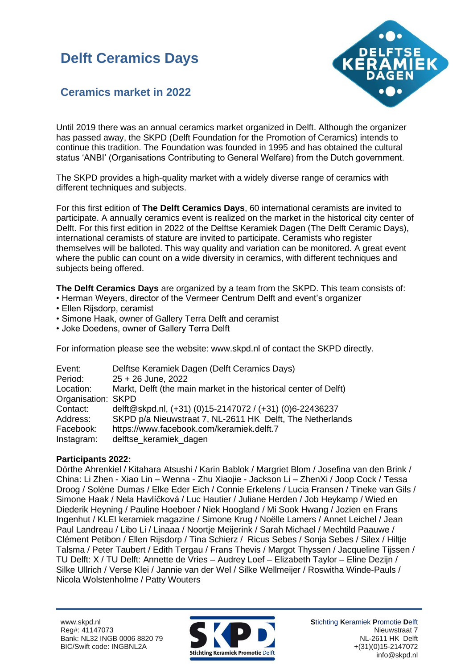### **Delft Ceramics Days**



### **Ceramics market in 2022**

Until 2019 there was an annual ceramics market organized in Delft. Although the organizer has passed away, the SKPD (Delft Foundation for the Promotion of Ceramics) intends to continue this tradition. The Foundation was founded in 1995 and has obtained the cultural status 'ANBI' (Organisations Contributing to General Welfare) from the Dutch government.

The SKPD provides a high-quality market with a widely diverse range of ceramics with different techniques and subjects.

For this first edition of **The Delft Ceramics Days**, 60 international ceramists are invited to participate. A annually ceramics event is realized on the market in the historical city center of Delft. For this first edition in 2022 of the Delftse Keramiek Dagen (The Delft Ceramic Days), international ceramists of stature are invited to participate. Ceramists who register themselves will be balloted. This way quality and variation can be monitored. A great event where the public can count on a wide diversity in ceramics, with different techniques and subjects being offered.

**The Delft Ceramics Days** are organized by a team from the SKPD. This team consists of:

- Herman Weyers, director of the Vermeer Centrum Delft and event's organizer
- Ellen Rijsdorp, ceramist
- Simone Haak, owner of Gallery Terra Delft and ceramist
- Joke Doedens, owner of Gallery Terra Delft

For information please see the website: www.skpd.nl of contact the SKPD directly.

| Event:             | Delftse Keramiek Dagen (Delft Ceramics Days)                     |
|--------------------|------------------------------------------------------------------|
| Period:            | $25 + 26$ June, 2022                                             |
| Location:          | Markt, Delft (the main market in the historical center of Delft) |
| Organisation: SKPD |                                                                  |
| Contact:           | delft@skpd.nl, (+31) (0)15-2147072 / (+31) (0)6-22436237         |
| Address:           | SKPD p/a Nieuwstraat 7, NL-2611 HK Delft, The Netherlands        |
| Facebook:          | https://www.facebook.com/keramiek.delft.7                        |
| Instagram:         | delftse_keramiek_dagen                                           |

#### **Participants 2022:**

Dörthe Ahrenkiel / Kitahara Atsushi / Karin Bablok / Margriet Blom / Josefina van den Brink / China: Li Zhen - Xiao Lin – Wenna - Zhu Xiaojie - Jackson Li – ZhenXi / Joop Cock / Tessa Droog / Solène Dumas / Elke Eder Eich / Connie Erkelens / Lucia Fransen / Tineke van Gils / Simone Haak / Nela Havlíčková / Luc Hautier / Juliane Herden / Job Heykamp / Wied en Diederik Heyning / Pauline Hoeboer / Niek Hoogland / Mi Sook Hwang / Jozien en Frans Ingenhut / KLEI keramiek magazine / Simone Krug / Noëlle Lamers / Annet Leichel / Jean Paul Landreau / Libo Li / Linaaa / Noortje Meijerink / Sarah Michael / Mechtild Paauwe / Clément Petibon / Ellen Rijsdorp / Tina Schierz / Ricus Sebes / Sonja Sebes / Silex / Hiltje Talsma / Peter Taubert / Edith Tergau / Frans Thevis / Margot Thyssen / Jacqueline Tijssen / TU Delft: X / TU Delft: Annette de Vries – Audrey Loef – Elizabeth Taylor – Eline Dezijn / Silke Ullrich / Verse Klei / Jannie van der Wel / Silke Wellmeijer / Roswitha Winde-Pauls / Nicola Wolstenholme / Patty Wouters

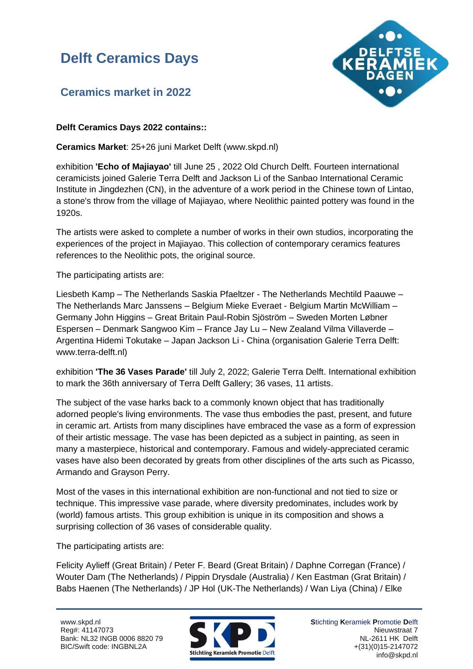# **Delft Ceramics Days**



### **Ceramics market in 2022**

#### **Delft Ceramics Days 2022 contains::**

**Ceramics Market**: 25+26 juni Market Delft (www.skpd.nl)

exhibition **'Echo of Majiayao'** till June 25 , 2022 Old Church Delft. Fourteen international ceramicists joined Galerie Terra Delft and Jackson Li of the Sanbao International Ceramic Institute in Jingdezhen (CN), in the adventure of a work period in the Chinese town of Lintao, a stone's throw from the village of Majiayao, where Neolithic painted pottery was found in the 1920s.

The artists were asked to complete a number of works in their own studios, incorporating the experiences of the project in Majiayao. This collection of contemporary ceramics features references to the Neolithic pots, the original source.

The participating artists are:

Liesbeth Kamp – The Netherlands Saskia Pfaeltzer - The Netherlands Mechtild Paauwe – The Netherlands Marc Janssens – Belgium Mieke Everaet - Belgium Martin McWilliam – Germany John Higgins – Great Britain Paul-Robin Sjöström – Sweden Morten Løbner Espersen – Denmark Sangwoo Kim – France Jay Lu – New Zealand Vilma Villaverde – Argentina Hidemi Tokutake – Japan Jackson Li - China (organisation Galerie Terra Delft: www.terra-delft.nl)

exhibition **'The 36 Vases Parade'** till July 2, 2022; Galerie Terra Delft. International exhibition to mark the 36th anniversary of Terra Delft Gallery; 36 vases, 11 artists.

The subject of the vase harks back to a commonly known object that has traditionally adorned people's living environments. The vase thus embodies the past, present, and future in ceramic art. Artists from many disciplines have embraced the vase as a form of expression of their artistic message. The vase has been depicted as a subject in painting, as seen in many a masterpiece, historical and contemporary. Famous and widely-appreciated ceramic vases have also been decorated by greats from other disciplines of the arts such as Picasso, Armando and Grayson Perry.

Most of the vases in this international exhibition are non-functional and not tied to size or technique. This impressive vase parade, where diversity predominates, includes work by (world) famous artists. This group exhibition is unique in its composition and shows a surprising collection of 36 vases of considerable quality.

The participating artists are:

Felicity Aylieff (Great Britain) / Peter F. Beard (Great Britain) / Daphne Corregan (France) / Wouter Dam (The Netherlands) / Pippin Drysdale (Australia) / Ken Eastman (Grat Britain) / Babs Haenen (The Netherlands) / JP Hol (UK-The Netherlands) / Wan Liya (China) / Elke